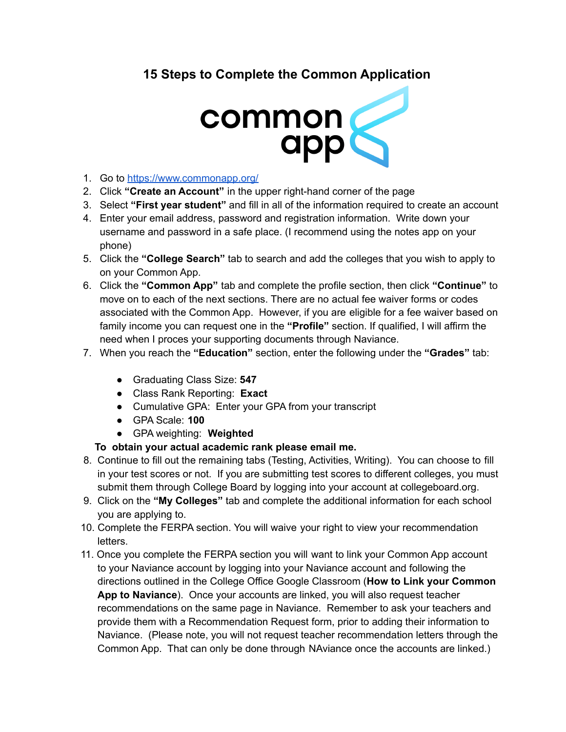## **15 Steps to Complete the Common Application**



- 1. Go to <https://www.commonapp.org/>
- 2. Click **"Create an Account"** in the upper right-hand corner of the page
- 3. Select **"First year student"** and fill in all of the information required to create an account
- 4. Enter your email address, password and registration information. Write down your username and password in a safe place. (I recommend using the notes app on your phone)
- 5. Click the **"College Search"** tab to search and add the colleges that you wish to apply to on your Common App.
- 6. Click the **"Common App"** tab and complete the profile section, then click **"Continue"** to move on to each of the next sections. There are no actual fee waiver forms or codes associated with the Common App. However, if you are eligible for a fee waiver based on family income you can request one in the **"Profile"** section. If qualified, I will affirm the need when I proces your supporting documents through Naviance.
- 7. When you reach the **"Education"** section, enter the following under the **"Grades"** tab:
	- Graduating Class Size: **547**
	- Class Rank Reporting: **Exact**
	- Cumulative GPA: Enter your GPA from your transcript
	- GPA Scale: **100**
	- GPA weighting: **Weighted**

## **To obtain your actual academic rank please email me.**

- 8. Continue to fill out the remaining tabs (Testing, Activities, Writing). You can choose to fill in your test scores or not. If you are submitting test scores to different colleges, you must submit them through College Board by logging into your account at collegeboard.org.
- 9. Click on the **"My Colleges"** tab and complete the additional information for each school you are applying to.
- 10. Complete the FERPA section. You will waive your right to view your recommendation letters.
- 11. Once you complete the FERPA section you will want to link your Common App account to your Naviance account by logging into your Naviance account and following the directions outlined in the College Office Google Classroom (**How to Link your Common App to Naviance**). Once your accounts are linked, you will also request teacher recommendations on the same page in Naviance. Remember to ask your teachers and provide them with a Recommendation Request form, prior to adding their information to Naviance. (Please note, you will not request teacher recommendation letters through the Common App. That can only be done through NAviance once the accounts are linked.)